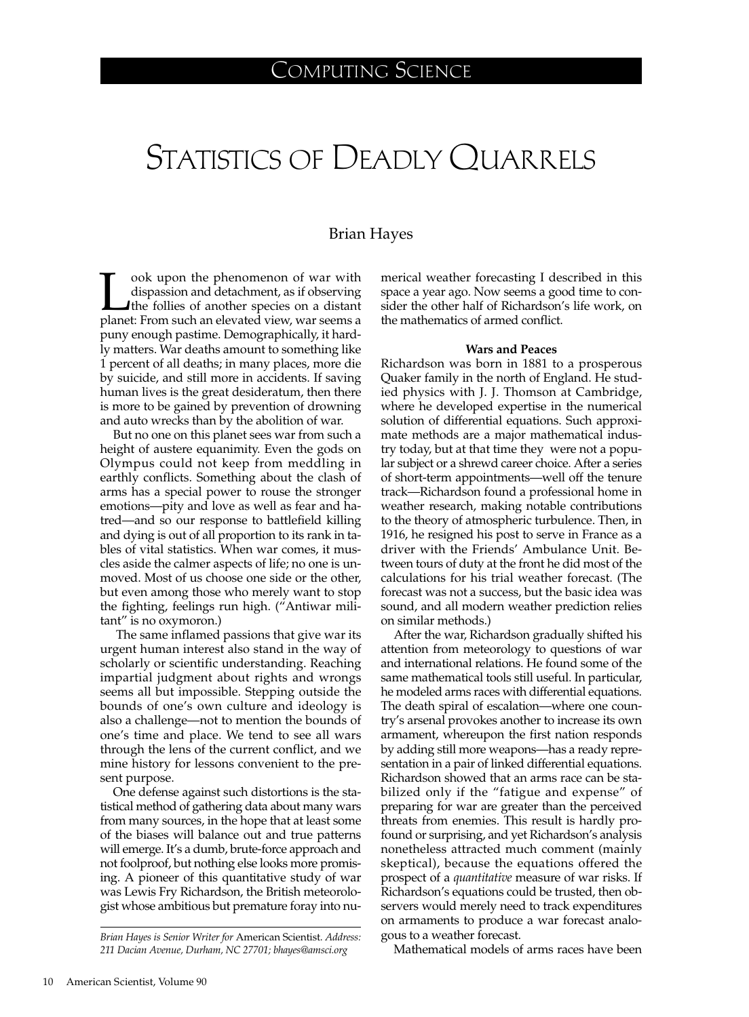# STATISTICS OF DEADLY QUARRELS

# Brian Hayes

**Look upon the phenomenon of war with dispassion and detachment, as if observing** the follies of another species on a distant planet: From such an elevated view, war seems a dispassion and detachment, as if observing the follies of another species on a distant planet: From such an elevated view, war seems a puny enough pastime. Demographically, it hardly matters. War deaths amount to something like 1 percent of all deaths; in many places, more die by suicide, and still more in accidents. If saving human lives is the great desideratum, then there is more to be gained by prevention of drowning and auto wrecks than by the abolition of war.

But no one on this planet sees war from such a height of austere equanimity. Even the gods on Olympus could not keep from meddling in earthly conflicts. Something about the clash of arms has a special power to rouse the stronger emotions—pity and love as well as fear and hatred—and so our response to battlefield killing and dying is out of all proportion to its rank in tables of vital statistics. When war comes, it muscles aside the calmer aspects of life; no one is unmoved. Most of us choose one side or the other, but even among those who merely want to stop the fighting, feelings run high. ("Antiwar militant" is no oxymoron.)

The same inflamed passions that give war its urgent human interest also stand in the way of scholarly or scientific understanding. Reaching impartial judgment about rights and wrongs seems all but impossible. Stepping outside the bounds of one's own culture and ideology is also a challenge—not to mention the bounds of one's time and place. We tend to see all wars through the lens of the current conflict, and we mine history for lessons convenient to the present purpose.

One defense against such distortions is the statistical method of gathering data about many wars from many sources, in the hope that at least some of the biases will balance out and true patterns will emerge. It's a dumb, brute-force approach and not foolproof, but nothing else looks more promising. A pioneer of this quantitative study of war was Lewis Fry Richardson, the British meteorologist whose ambitious but premature foray into nu-

merical weather forecasting I described in this space a year ago. Now seems a good time to consider the other half of Richardson's life work, on the mathematics of armed conflict.

### **Wars and Peaces**

Richardson was born in 1881 to a prosperous Quaker family in the north of England. He studied physics with J. J. Thomson at Cambridge, where he developed expertise in the numerical solution of differential equations. Such approximate methods are a major mathematical industry today, but at that time they were not a popular subject or a shrewd career choice. After a series of short-term appointments—well off the tenure track—Richardson found a professional home in weather research, making notable contributions to the theory of atmospheric turbulence. Then, in 1916, he resigned his post to serve in France as a driver with the Friends' Ambulance Unit. Between tours of duty at the front he did most of the calculations for his trial weather forecast. (The forecast was not a success, but the basic idea was sound, and all modern weather prediction relies on similar methods.)

After the war, Richardson gradually shifted his attention from meteorology to questions of war and international relations. He found some of the same mathematical tools still useful. In particular, he modeled arms races with differential equations. The death spiral of escalation—where one country's arsenal provokes another to increase its own armament, whereupon the first nation responds by adding still more weapons—has a ready representation in a pair of linked differential equations. Richardson showed that an arms race can be stabilized only if the "fatigue and expense" of preparing for war are greater than the perceived threats from enemies. This result is hardly profound or surprising, and yet Richardson's analysis nonetheless attracted much comment (mainly skeptical), because the equations offered the prospect of a *quantitative* measure of war risks. If Richardson's equations could be trusted, then observers would merely need to track expenditures on armaments to produce a war forecast analogous to a weather forecast.

Mathematical models of arms races have been

*Brian Hayes is Senior Writer for* American Scientist. *Address: 211 Dacian Avenue, Durham, NC 27701; bhayes@amsci.org*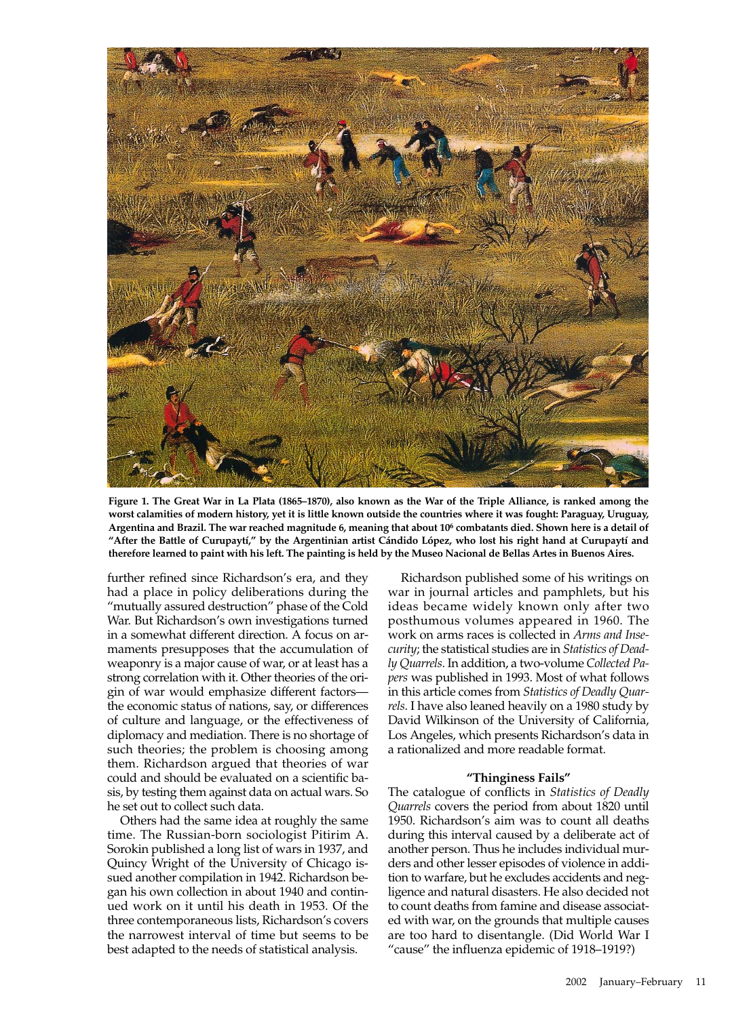

**Figure 1. The Great War in La Plata (1865–1870), also known as the War of the Triple Alliance, is ranked among the worst calamities of modern history, yet it is little known outside the countries where it was fought: Paraguay, Uruguay, Argentina and Brazil. The war reached magnitude 6, meaning that about 106 combatants died. Shown here is a detail of "After the Battle of Curupaytí," by the Argentinian artist Cándido López, who lost his right hand at Curupaytí and therefore learned to paint with his left. The painting is held by the Museo Nacional de Bellas Artes in Buenos Aires.**

further refined since Richardson's era, and they had a place in policy deliberations during the "mutually assured destruction" phase of the Cold War. But Richardson's own investigations turned in a somewhat different direction. A focus on armaments presupposes that the accumulation of weaponry is a major cause of war, or at least has a strong correlation with it. Other theories of the origin of war would emphasize different factors the economic status of nations, say, or differences of culture and language, or the effectiveness of diplomacy and mediation. There is no shortage of such theories; the problem is choosing among them. Richardson argued that theories of war could and should be evaluated on a scientific basis, by testing them against data on actual wars. So he set out to collect such data.

Others had the same idea at roughly the same time. The Russian-born sociologist Pitirim A. Sorokin published a long list of wars in 1937, and Quincy Wright of the University of Chicago issued another compilation in 1942. Richardson began his own collection in about 1940 and continued work on it until his death in 1953. Of the three contemporaneous lists, Richardson's covers the narrowest interval of time but seems to be best adapted to the needs of statistical analysis.

Richardson published some of his writings on war in journal articles and pamphlets, but his ideas became widely known only after two posthumous volumes appeared in 1960. The work on arms races is collected in *Arms and Insecurity*; the statistical studies are in *Statistics of Deadly Quarrels*. In addition, a two-volume *Collected Papers* was published in 1993. Most of what follows in this article comes from *Statistics of Deadly Quarrels*. I have also leaned heavily on a 1980 study by David Wilkinson of the University of California, Los Angeles, which presents Richardson's data in a rationalized and more readable format.

# **"Thinginess Fails"**

The catalogue of conflicts in *Statistics of Deadly Quarrels* covers the period from about 1820 until 1950. Richardson's aim was to count all deaths during this interval caused by a deliberate act of another person. Thus he includes individual murders and other lesser episodes of violence in addition to warfare, but he excludes accidents and negligence and natural disasters. He also decided not to count deaths from famine and disease associated with war, on the grounds that multiple causes are too hard to disentangle. (Did World War I "cause" the influenza epidemic of 1918–1919?)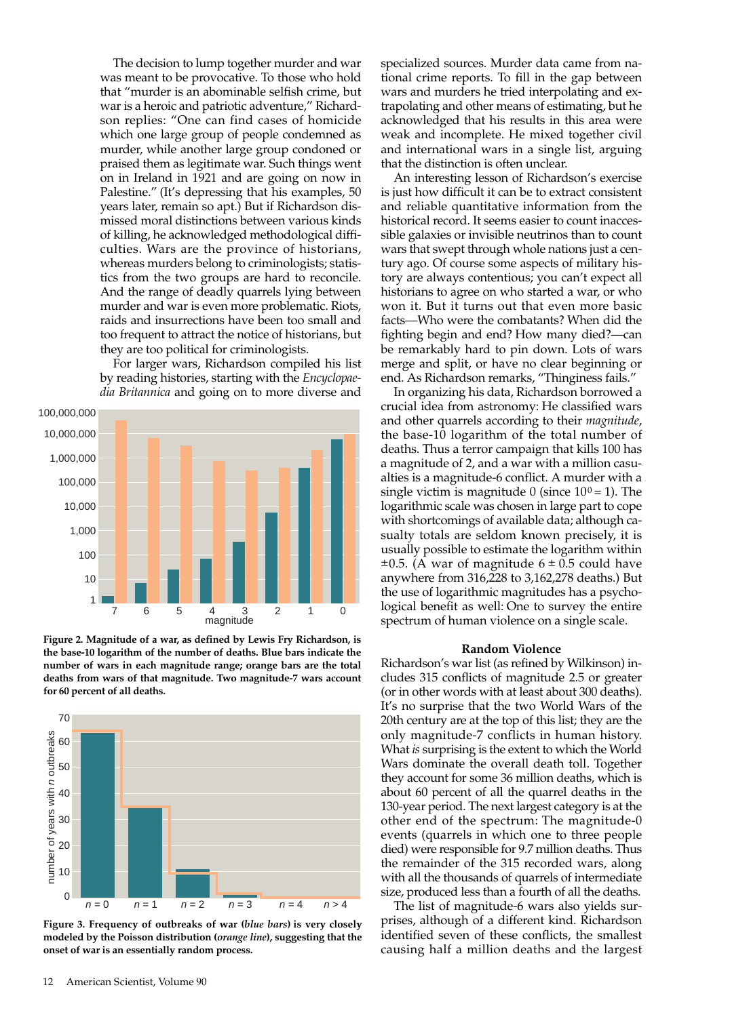The decision to lump together murder and war was meant to be provocative. To those who hold that "murder is an abominable selfish crime, but war is a heroic and patriotic adventure," Richardson replies: "One can find cases of homicide which one large group of people condemned as murder, while another large group condoned or praised them as legitimate war. Such things went on in Ireland in 1921 and are going on now in Palestine." (It's depressing that his examples, 50 years later, remain so apt.) But if Richardson dismissed moral distinctions between various kinds of killing, he acknowledged methodological difficulties. Wars are the province of historians, whereas murders belong to criminologists; statistics from the two groups are hard to reconcile. And the range of deadly quarrels lying between murder and war is even more problematic. Riots, raids and insurrections have been too small and too frequent to attract the notice of historians, but they are too political for criminologists.

For larger wars, Richardson compiled his list by reading histories, starting with the *Encyclopaedia Britannica* and going on to more diverse and



**Figure 2. Magnitude of a war, as defined by Lewis Fry Richardson, is the base-10 logarithm of the number of deaths. Blue bars indicate the number of wars in each magnitude range; orange bars are the total deaths from wars of that magnitude. Two magnitude-7 wars account for 60 percent of all deaths.**



**Figure 3. Frequency of outbreaks of war (***blue bars***) is very closely modeled by the Poisson distribution (***orange line***), suggesting that the onset of war is an essentially random process.**

specialized sources. Murder data came from national crime reports. To fill in the gap between wars and murders he tried interpolating and extrapolating and other means of estimating, but he acknowledged that his results in this area were weak and incomplete. He mixed together civil and international wars in a single list, arguing that the distinction is often unclear.

An interesting lesson of Richardson's exercise is just how difficult it can be to extract consistent and reliable quantitative information from the historical record. It seems easier to count inaccessible galaxies or invisible neutrinos than to count wars that swept through whole nations just a century ago. Of course some aspects of military history are always contentious; you can't expect all historians to agree on who started a war, or who won it. But it turns out that even more basic facts—Who were the combatants? When did the fighting begin and end? How many died?—can be remarkably hard to pin down. Lots of wars merge and split, or have no clear beginning or end. As Richardson remarks, "Thinginess fails."

In organizing his data, Richardson borrowed a crucial idea from astronomy: He classified wars and other quarrels according to their *magnitude*, the base-10 logarithm of the total number of deaths. Thus a terror campaign that kills 100 has a magnitude of 2, and a war with a million casualties is a magnitude-6 conflict. A murder with a single victim is magnitude 0 (since  $10^0 = 1$ ). The logarithmic scale was chosen in large part to cope with shortcomings of available data; although casualty totals are seldom known precisely, it is usually possible to estimate the logarithm within  $\pm 0.5$ . (A war of magnitude 6  $\pm 0.5$  could have anywhere from 316,228 to 3,162,278 deaths.) But the use of logarithmic magnitudes has a psychological benefit as well: One to survey the entire spectrum of human violence on a single scale.

#### **Random Violence**

Richardson's war list (as refined by Wilkinson) includes 315 conflicts of magnitude 2.5 or greater (or in other words with at least about 300 deaths). It's no surprise that the two World Wars of the 20th century are at the top of this list; they are the only magnitude-7 conflicts in human history. What *is* surprising is the extent to which the World Wars dominate the overall death toll. Together they account for some 36 million deaths, which is about 60 percent of all the quarrel deaths in the 130-year period. The next largest category is at the other end of the spectrum: The magnitude-0 events (quarrels in which one to three people died) were responsible for 9.7 million deaths. Thus the remainder of the 315 recorded wars, along with all the thousands of quarrels of intermediate size, produced less than a fourth of all the deaths.

The list of magnitude-6 wars also yields surprises, although of a different kind. Richardson identified seven of these conflicts, the smallest causing half a million deaths and the largest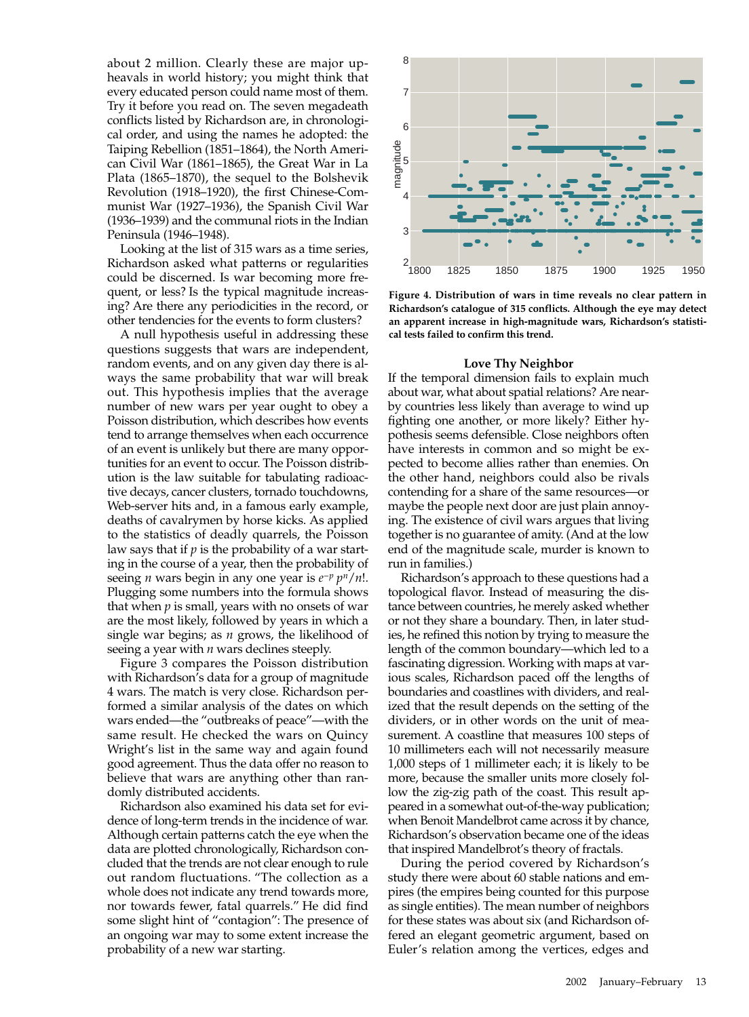about 2 million. Clearly these are major upheavals in world history; you might think that every educated person could name most of them. Try it before you read on. The seven megadeath conflicts listed by Richardson are, in chronological order, and using the names he adopted: the Taiping Rebellion (1851–1864), the North American Civil War (1861–1865), the Great War in La Plata (1865–1870), the sequel to the Bolshevik Revolution (1918–1920), the first Chinese-Communist War (1927–1936), the Spanish Civil War (1936–1939) and the communal riots in the Indian Peninsula (1946–1948).

Looking at the list of 315 wars as a time series, Richardson asked what patterns or regularities could be discerned. Is war becoming more frequent, or less? Is the typical magnitude increasing? Are there any periodicities in the record, or other tendencies for the events to form clusters?

A null hypothesis useful in addressing these questions suggests that wars are independent, random events, and on any given day there is always the same probability that war will break out. This hypothesis implies that the average number of new wars per year ought to obey a Poisson distribution, which describes how events tend to arrange themselves when each occurrence of an event is unlikely but there are many opportunities for an event to occur. The Poisson distribution is the law suitable for tabulating radioactive decays, cancer clusters, tornado touchdowns, Web-server hits and, in a famous early example, deaths of cavalrymen by horse kicks. As applied to the statistics of deadly quarrels, the Poisson law says that if *p* is the probability of a war starting in the course of a year, then the probability of seeing *n* wars begin in any one year is *e*–*<sup>p</sup> pn*/*n*!. Plugging some numbers into the formula shows that when *p* is small, years with no onsets of war are the most likely, followed by years in which a single war begins; as *n* grows, the likelihood of seeing a year with *n* wars declines steeply.

Figure 3 compares the Poisson distribution with Richardson's data for a group of magnitude 4 wars. The match is very close. Richardson performed a similar analysis of the dates on which wars ended—the "outbreaks of peace"—with the same result. He checked the wars on Quincy Wright's list in the same way and again found good agreement. Thus the data offer no reason to believe that wars are anything other than randomly distributed accidents.

Richardson also examined his data set for evidence of long-term trends in the incidence of war. Although certain patterns catch the eye when the data are plotted chronologically, Richardson concluded that the trends are not clear enough to rule out random fluctuations. "The collection as a whole does not indicate any trend towards more, nor towards fewer, fatal quarrels." He did find some slight hint of "contagion": The presence of an ongoing war may to some extent increase the probability of a new war starting.



**Figure 4. Distribution of wars in time reveals no clear pattern in Richardson's catalogue of 315 conflicts. Although the eye may detect an apparent increase in high-magnitude wars, Richardson's statistical tests failed to confirm this trend.**

## **Love Thy Neighbor**

If the temporal dimension fails to explain much about war, what about spatial relations? Are nearby countries less likely than average to wind up fighting one another, or more likely? Either hypothesis seems defensible. Close neighbors often have interests in common and so might be expected to become allies rather than enemies. On the other hand, neighbors could also be rivals contending for a share of the same resources—or maybe the people next door are just plain annoying. The existence of civil wars argues that living together is no guarantee of amity. (And at the low end of the magnitude scale, murder is known to run in families.)

Richardson's approach to these questions had a topological flavor. Instead of measuring the distance between countries, he merely asked whether or not they share a boundary. Then, in later studies, he refined this notion by trying to measure the length of the common boundary—which led to a fascinating digression. Working with maps at various scales, Richardson paced off the lengths of boundaries and coastlines with dividers, and realized that the result depends on the setting of the dividers, or in other words on the unit of measurement. A coastline that measures 100 steps of 10 millimeters each will not necessarily measure 1,000 steps of 1 millimeter each; it is likely to be more, because the smaller units more closely follow the zig-zig path of the coast. This result appeared in a somewhat out-of-the-way publication; when Benoit Mandelbrot came across it by chance, Richardson's observation became one of the ideas that inspired Mandelbrot's theory of fractals.

During the period covered by Richardson's study there were about 60 stable nations and empires (the empires being counted for this purpose as single entities). The mean number of neighbors for these states was about six (and Richardson offered an elegant geometric argument, based on Euler's relation among the vertices, edges and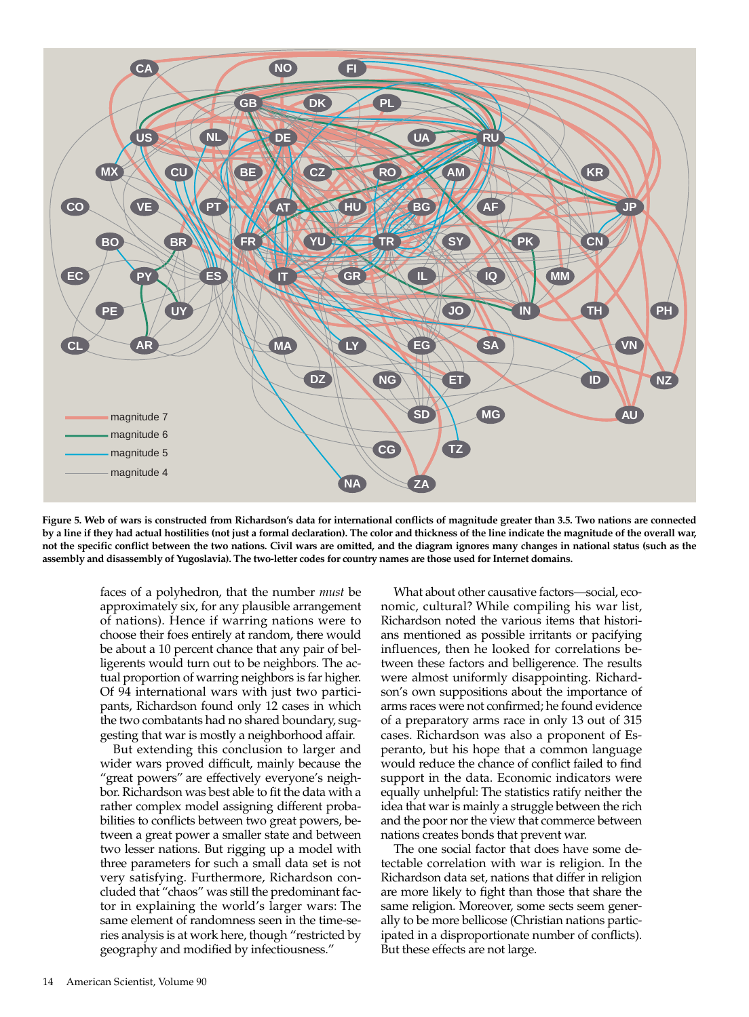

**Figure 5. Web of wars is constructed from Richardson's data for international conflicts of magnitude greater than 3.5. Two nations are connected by a line if they had actual hostilities (not just a formal declaration). The color and thickness of the line indicate the magnitude of the overall war, not the specific conflict between the two nations. Civil wars are omitted, and the diagram ignores many changes in national status (such as the assembly and disassembly of Yugoslavia). The two-letter codes for country names are those used for Internet domains.** 

faces of a polyhedron, that the number *must* be approximately six, for any plausible arrangement of nations). Hence if warring nations were to choose their foes entirely at random, there would be about a 10 percent chance that any pair of belligerents would turn out to be neighbors. The actual proportion of warring neighbors is far higher. Of 94 international wars with just two participants, Richardson found only 12 cases in which the two combatants had no shared boundary, suggesting that war is mostly a neighborhood affair.

But extending this conclusion to larger and wider wars proved difficult, mainly because the "great powers" are effectively everyone's neighbor. Richardson was best able to fit the data with a rather complex model assigning different probabilities to conflicts between two great powers, between a great power a smaller state and between two lesser nations. But rigging up a model with three parameters for such a small data set is not very satisfying. Furthermore, Richardson concluded that "chaos" was still the predominant factor in explaining the world's larger wars: The same element of randomness seen in the time-series analysis is at work here, though "restricted by geography and modified by infectiousness."

What about other causative factors—social, economic, cultural? While compiling his war list, Richardson noted the various items that historians mentioned as possible irritants or pacifying influences, then he looked for correlations between these factors and belligerence. The results were almost uniformly disappointing. Richardson's own suppositions about the importance of arms races were not confirmed; he found evidence of a preparatory arms race in only 13 out of 315 cases. Richardson was also a proponent of Esperanto, but his hope that a common language would reduce the chance of conflict failed to find support in the data. Economic indicators were equally unhelpful: The statistics ratify neither the idea that war is mainly a struggle between the rich and the poor nor the view that commerce between nations creates bonds that prevent war.

The one social factor that does have some detectable correlation with war is religion. In the Richardson data set, nations that differ in religion are more likely to fight than those that share the same religion. Moreover, some sects seem generally to be more bellicose (Christian nations participated in a disproportionate number of conflicts). But these effects are not large.